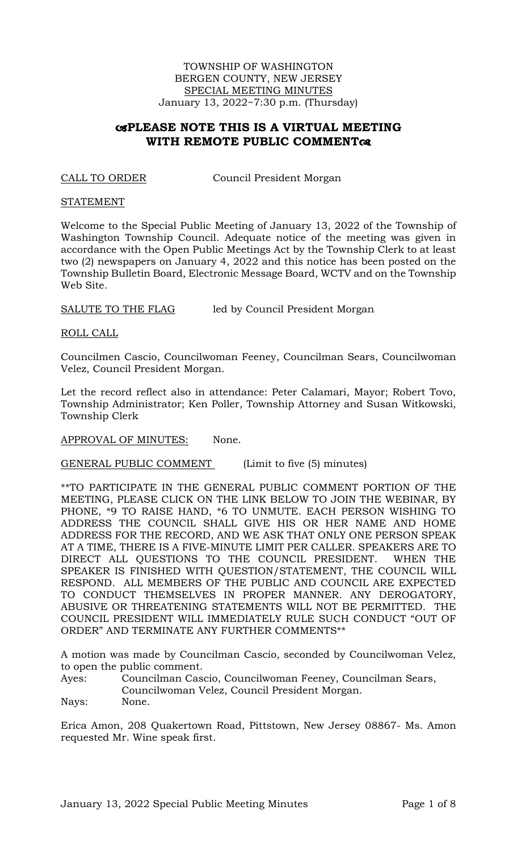TOWNSHIP OF WASHINGTON BERGEN COUNTY, NEW JERSEY SPECIAL MEETING MINUTES January 13, 2022~7:30 p.m. (Thursday)

# **PLEASE NOTE THIS IS A VIRTUAL MEETING WITH REMOTE PUBLIC COMMENT**

CALL TO ORDER Council President Morgan

#### **STATEMENT**

Welcome to the Special Public Meeting of January 13, 2022 of the Township of Washington Township Council. Adequate notice of the meeting was given in accordance with the Open Public Meetings Act by the Township Clerk to at least two (2) newspapers on January 4, 2022 and this notice has been posted on the Township Bulletin Board, Electronic Message Board, WCTV and on the Township Web Site.

SALUTE TO THE FLAG led by Council President Morgan

ROLL CALL

Councilmen Cascio, Councilwoman Feeney, Councilman Sears, Councilwoman Velez, Council President Morgan.

Let the record reflect also in attendance: Peter Calamari, Mayor; Robert Tovo, Township Administrator; Ken Poller, Township Attorney and Susan Witkowski, Township Clerk

APPROVAL OF MINUTES: None.

GENERAL PUBLIC COMMENT (Limit to five (5) minutes)

\*\*TO PARTICIPATE IN THE GENERAL PUBLIC COMMENT PORTION OF THE MEETING, PLEASE CLICK ON THE LINK BELOW TO JOIN THE WEBINAR, BY PHONE, \*9 TO RAISE HAND, \*6 TO UNMUTE. EACH PERSON WISHING TO ADDRESS THE COUNCIL SHALL GIVE HIS OR HER NAME AND HOME ADDRESS FOR THE RECORD, AND WE ASK THAT ONLY ONE PERSON SPEAK AT A TIME, THERE IS A FIVE-MINUTE LIMIT PER CALLER. SPEAKERS ARE TO DIRECT ALL QUESTIONS TO THE COUNCIL PRESIDENT. WHEN THE SPEAKER IS FINISHED WITH QUESTION/STATEMENT, THE COUNCIL WILL RESPOND. ALL MEMBERS OF THE PUBLIC AND COUNCIL ARE EXPECTED TO CONDUCT THEMSELVES IN PROPER MANNER. ANY DEROGATORY, ABUSIVE OR THREATENING STATEMENTS WILL NOT BE PERMITTED. THE COUNCIL PRESIDENT WILL IMMEDIATELY RULE SUCH CONDUCT "OUT OF ORDER" AND TERMINATE ANY FURTHER COMMENTS\*\*

A motion was made by Councilman Cascio, seconded by Councilwoman Velez, to open the public comment.

Ayes: Councilman Cascio, Councilwoman Feeney, Councilman Sears, Councilwoman Velez, Council President Morgan.

Nays: None.

Erica Amon, 208 Quakertown Road, Pittstown, New Jersey 08867- Ms. Amon requested Mr. Wine speak first.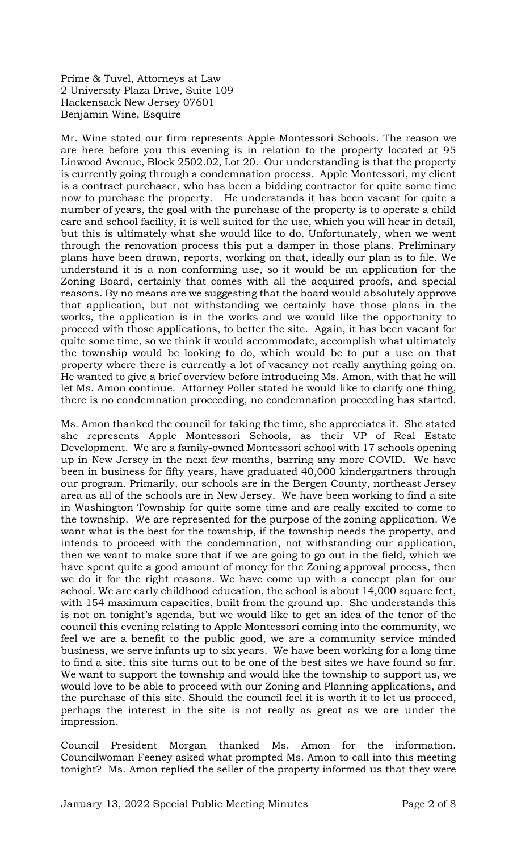Prime & Tuvel, Attorneys at Law 2 University Plaza Drive, Suite 109 Hackensack New Jersey 07601 Benjamin Wine, Esquire

Mr. Wine stated our firm represents Apple Montessori Schools. The reason we are here before you this evening is in relation to the property located at 95 Linwood Avenue, Block 2502.02, Lot 20. Our understanding is that the property is currently going through a condemnation process. Apple Montessori, my client is a contract purchaser, who has been a bidding contractor for quite some time now to purchase the property. He understands it has been vacant for quite a number of years, the goal with the purchase of the property is to operate a child care and school facility, it is well suited for the use, which you will hear in detail, but this is ultimately what she would like to do. Unfortunately, when we went through the renovation process this put a damper in those plans. Preliminary plans have been drawn, reports, working on that, ideally our plan is to file. We understand it is a non-conforming use, so it would be an application for the Zoning Board, certainly that comes with all the acquired proofs, and special reasons. By no means are we suggesting that the board would absolutely approve that application, but not withstanding we certainly have those plans in the works, the application is in the works and we would like the opportunity to proceed with those applications, to better the site. Again, it has been vacant for quite some time, so we think it would accommodate, accomplish what ultimately the township would be looking to do, which would be to put a use on that property where there is currently a lot of vacancy not really anything going on. He wanted to give a brief overview before introducing Ms. Amon, with that he will let Ms. Amon continue. Attorney Poller stated he would like to clarify one thing, there is no condemnation proceeding, no condemnation proceeding has started.

Ms. Amon thanked the council for taking the time, she appreciates it. She stated she represents Apple Montessori Schools, as their VP of Real Estate Development. We are a family-owned Montessori school with 17 schools opening up in New Jersey in the next few months, barring any more COVID. We have been in business for fifty years, have graduated 40,000 kindergartners through our program. Primarily, our schools are in the Bergen County, northeast Jersey area as all of the schools are in New Jersey. We have been working to find a site in Washington Township for quite some time and are really excited to come to the township. We are represented for the purpose of the zoning application. We want what is the best for the township, if the township needs the property, and intends to proceed with the condemnation, not withstanding our application, then we want to make sure that if we are going to go out in the field, which we have spent quite a good amount of money for the Zoning approval process, then we do it for the right reasons. We have come up with a concept plan for our school. We are early childhood education, the school is about 14,000 square feet, with 154 maximum capacities, built from the ground up. She understands this is not on tonight's agenda, but we would like to get an idea of the tenor of the council this evening relating to Apple Montessori coming into the community, we feel we are a benefit to the public good, we are a community service minded business, we serve infants up to six years. We have been working for a long time to find a site, this site turns out to be one of the best sites we have found so far. We want to support the township and would like the township to support us, we would love to be able to proceed with our Zoning and Planning applications, and the purchase of this site. Should the council feel it is worth it to let us proceed, perhaps the interest in the site is not really as great as we are under the impression.

Council President Morgan thanked Ms. Amon for the information. Councilwoman Feeney asked what prompted Ms. Amon to call into this meeting tonight? Ms. Amon replied the seller of the property informed us that they were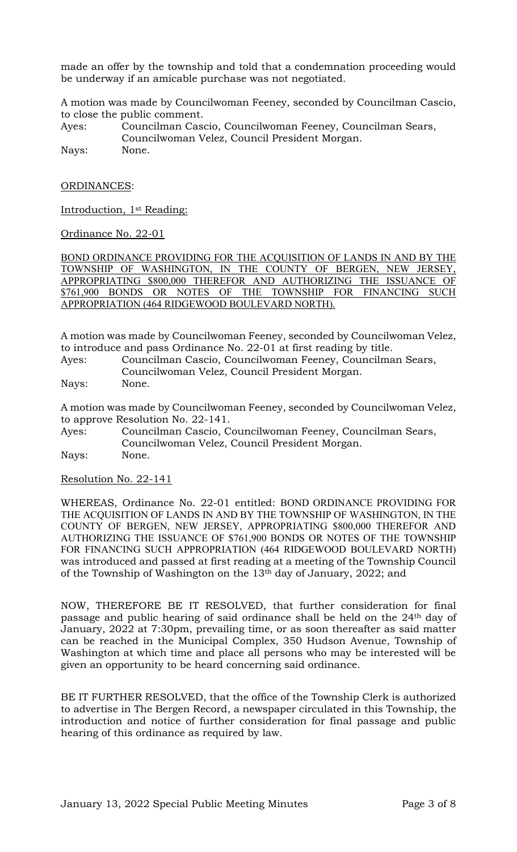made an offer by the township and told that a condemnation proceeding would be underway if an amicable purchase was not negotiated.

A motion was made by Councilwoman Feeney, seconded by Councilman Cascio, to close the public comment.

Ayes: Councilman Cascio, Councilwoman Feeney, Councilman Sears, Councilwoman Velez, Council President Morgan. Nays: None.

ORDINANCES:

Introduction, 1st Reading:

Ordinance No. 22-01

BOND ORDINANCE PROVIDING FOR THE ACQUISITION OF LANDS IN AND BY THE TOWNSHIP OF WASHINGTON, IN THE COUNTY OF BERGEN, NEW JERSEY, APPROPRIATING \$800,000 THEREFOR AND AUTHORIZING THE ISSUANCE OF \$761,900 BONDS OR NOTES OF THE TOWNSHIP FOR FINANCING SUCH APPROPRIATION (464 RIDGEWOOD BOULEVARD NORTH).

A motion was made by Councilwoman Feeney, seconded by Councilwoman Velez, to introduce and pass Ordinance No. 22-01 at first reading by title.

Ayes: Councilman Cascio, Councilwoman Feeney, Councilman Sears, Councilwoman Velez, Council President Morgan.

Nays: None.

A motion was made by Councilwoman Feeney, seconded by Councilwoman Velez, to approve Resolution No. 22-141.

Ayes: Councilman Cascio, Councilwoman Feeney, Councilman Sears, Councilwoman Velez, Council President Morgan. Nays: None.

Resolution No. 22-141

WHEREAS, Ordinance No. 22-01 entitled: BOND ORDINANCE PROVIDING FOR THE ACQUISITION OF LANDS IN AND BY THE TOWNSHIP OF WASHINGTON, IN THE COUNTY OF BERGEN, NEW JERSEY, APPROPRIATING \$800,000 THEREFOR AND AUTHORIZING THE ISSUANCE OF \$761,900 BONDS OR NOTES OF THE TOWNSHIP FOR FINANCING SUCH APPROPRIATION (464 RIDGEWOOD BOULEVARD NORTH) was introduced and passed at first reading at a meeting of the Township Council of the Township of Washington on the  $13<sup>th</sup>$  day of January, 2022; and

NOW, THEREFORE BE IT RESOLVED, that further consideration for final passage and public hearing of said ordinance shall be held on the 24th day of January, 2022 at 7:30pm, prevailing time, or as soon thereafter as said matter can be reached in the Municipal Complex, 350 Hudson Avenue, Township of Washington at which time and place all persons who may be interested will be given an opportunity to be heard concerning said ordinance.

BE IT FURTHER RESOLVED, that the office of the Township Clerk is authorized to advertise in The Bergen Record, a newspaper circulated in this Township, the introduction and notice of further consideration for final passage and public hearing of this ordinance as required by law.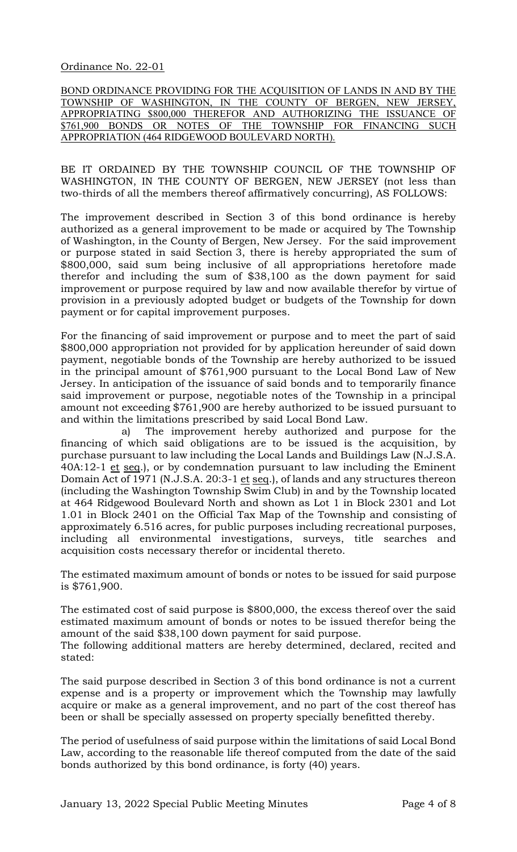Ordinance No. 22-01

BOND ORDINANCE PROVIDING FOR THE ACQUISITION OF LANDS IN AND BY THE TOWNSHIP OF WASHINGTON, IN THE COUNTY OF BERGEN, NEW JERSEY, APPROPRIATING \$800,000 THEREFOR AND AUTHORIZING THE ISSUANCE OF \$761,900 BONDS OR NOTES OF THE TOWNSHIP FOR FINANCING SUCH APPROPRIATION (464 RIDGEWOOD BOULEVARD NORTH).

BE IT ORDAINED BY THE TOWNSHIP COUNCIL OF THE TOWNSHIP OF WASHINGTON, IN THE COUNTY OF BERGEN, NEW JERSEY (not less than two-thirds of all the members thereof affirmatively concurring), AS FOLLOWS:

The improvement described in Section 3 of this bond ordinance is hereby authorized as a general improvement to be made or acquired by The Township of Washington, in the County of Bergen, New Jersey. For the said improvement or purpose stated in said Section 3, there is hereby appropriated the sum of \$800,000, said sum being inclusive of all appropriations heretofore made therefor and including the sum of \$38,100 as the down payment for said improvement or purpose required by law and now available therefor by virtue of provision in a previously adopted budget or budgets of the Township for down payment or for capital improvement purposes.

For the financing of said improvement or purpose and to meet the part of said \$800,000 appropriation not provided for by application hereunder of said down payment, negotiable bonds of the Township are hereby authorized to be issued in the principal amount of \$761,900 pursuant to the Local Bond Law of New Jersey. In anticipation of the issuance of said bonds and to temporarily finance said improvement or purpose, negotiable notes of the Township in a principal amount not exceeding \$761,900 are hereby authorized to be issued pursuant to and within the limitations prescribed by said Local Bond Law.

a) The improvement hereby authorized and purpose for the financing of which said obligations are to be issued is the acquisition, by purchase pursuant to law including the Local Lands and Buildings Law (N.J.S.A. 40A:12-1 et seq.), or by condemnation pursuant to law including the Eminent Domain Act of 1971 (N.J.S.A. 20:3-1 et seq.), of lands and any structures thereon (including the Washington Township Swim Club) in and by the Township located at 464 Ridgewood Boulevard North and shown as Lot 1 in Block 2301 and Lot 1.01 in Block 2401 on the Official Tax Map of the Township and consisting of approximately 6.516 acres, for public purposes including recreational purposes, including all environmental investigations, surveys, title searches and acquisition costs necessary therefor or incidental thereto.

The estimated maximum amount of bonds or notes to be issued for said purpose is \$761,900.

The estimated cost of said purpose is \$800,000, the excess thereof over the said estimated maximum amount of bonds or notes to be issued therefor being the amount of the said \$38,100 down payment for said purpose.

The following additional matters are hereby determined, declared, recited and stated:

The said purpose described in Section 3 of this bond ordinance is not a current expense and is a property or improvement which the Township may lawfully acquire or make as a general improvement, and no part of the cost thereof has been or shall be specially assessed on property specially benefitted thereby.

The period of usefulness of said purpose within the limitations of said Local Bond Law, according to the reasonable life thereof computed from the date of the said bonds authorized by this bond ordinance, is forty (40) years.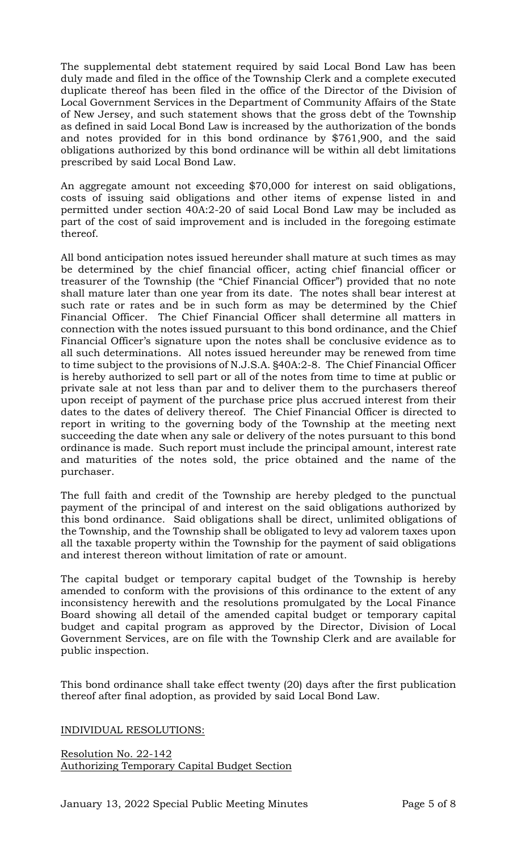The supplemental debt statement required by said Local Bond Law has been duly made and filed in the office of the Township Clerk and a complete executed duplicate thereof has been filed in the office of the Director of the Division of Local Government Services in the Department of Community Affairs of the State of New Jersey, and such statement shows that the gross debt of the Township as defined in said Local Bond Law is increased by the authorization of the bonds and notes provided for in this bond ordinance by \$761,900, and the said obligations authorized by this bond ordinance will be within all debt limitations prescribed by said Local Bond Law.

An aggregate amount not exceeding \$70,000 for interest on said obligations, costs of issuing said obligations and other items of expense listed in and permitted under section 40A:2-20 of said Local Bond Law may be included as part of the cost of said improvement and is included in the foregoing estimate thereof.

All bond anticipation notes issued hereunder shall mature at such times as may be determined by the chief financial officer, acting chief financial officer or treasurer of the Township (the "Chief Financial Officer") provided that no note shall mature later than one year from its date. The notes shall bear interest at such rate or rates and be in such form as may be determined by the Chief Financial Officer. The Chief Financial Officer shall determine all matters in connection with the notes issued pursuant to this bond ordinance, and the Chief Financial Officer's signature upon the notes shall be conclusive evidence as to all such determinations. All notes issued hereunder may be renewed from time to time subject to the provisions of N.J.S.A. §40A:2-8. The Chief Financial Officer is hereby authorized to sell part or all of the notes from time to time at public or private sale at not less than par and to deliver them to the purchasers thereof upon receipt of payment of the purchase price plus accrued interest from their dates to the dates of delivery thereof. The Chief Financial Officer is directed to report in writing to the governing body of the Township at the meeting next succeeding the date when any sale or delivery of the notes pursuant to this bond ordinance is made. Such report must include the principal amount, interest rate and maturities of the notes sold, the price obtained and the name of the purchaser.

The full faith and credit of the Township are hereby pledged to the punctual payment of the principal of and interest on the said obligations authorized by this bond ordinance. Said obligations shall be direct, unlimited obligations of the Township, and the Township shall be obligated to levy ad valorem taxes upon all the taxable property within the Township for the payment of said obligations and interest thereon without limitation of rate or amount.

The capital budget or temporary capital budget of the Township is hereby amended to conform with the provisions of this ordinance to the extent of any inconsistency herewith and the resolutions promulgated by the Local Finance Board showing all detail of the amended capital budget or temporary capital budget and capital program as approved by the Director, Division of Local Government Services, are on file with the Township Clerk and are available for public inspection.

This bond ordinance shall take effect twenty (20) days after the first publication thereof after final adoption, as provided by said Local Bond Law.

## INDIVIDUAL RESOLUTIONS:

Resolution No. 22-142 Authorizing Temporary Capital Budget Section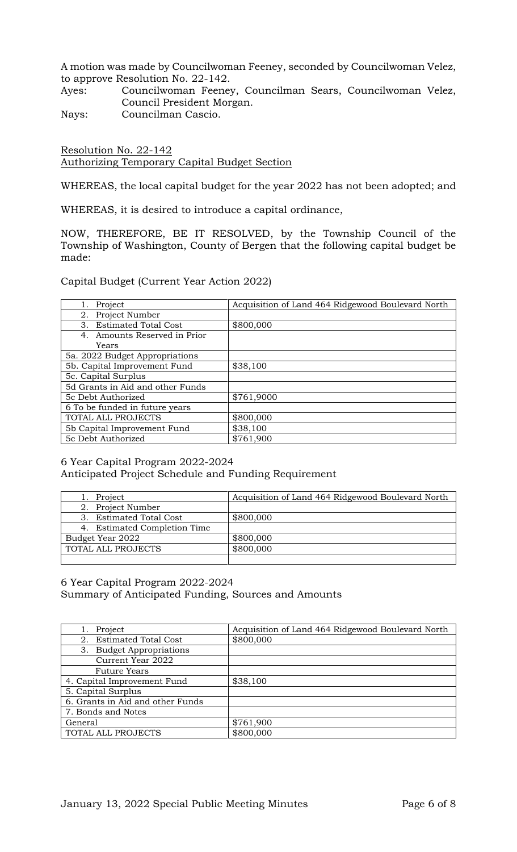A motion was made by Councilwoman Feeney, seconded by Councilwoman Velez, to approve Resolution No. 22-142.

Ayes: Councilwoman Feeney, Councilman Sears, Councilwoman Velez, Council President Morgan.

Nays: Councilman Cascio.

Resolution No. 22-142 Authorizing Temporary Capital Budget Section

WHEREAS, the local capital budget for the year 2022 has not been adopted; and

WHEREAS, it is desired to introduce a capital ordinance,

NOW, THEREFORE, BE IT RESOLVED, by the Township Council of the Township of Washington, County of Bergen that the following capital budget be made:

Capital Budget (Current Year Action 2022)

| Project                           | Acquisition of Land 464 Ridgewood Boulevard North |
|-----------------------------------|---------------------------------------------------|
| Project Number<br>2.              |                                                   |
| <b>Estimated Total Cost</b><br>3. | \$800,000                                         |
| 4. Amounts Reserved in Prior      |                                                   |
| Years                             |                                                   |
| 5a. 2022 Budget Appropriations    |                                                   |
| 5b. Capital Improvement Fund      | \$38,100                                          |
| 5c. Capital Surplus               |                                                   |
| 5d Grants in Aid and other Funds  |                                                   |
| 5c Debt Authorized                | \$761,9000                                        |
| 6 To be funded in future years    |                                                   |
| TOTAL ALL PROJECTS                | \$800,000                                         |
| 5b Capital Improvement Fund       | \$38,100                                          |
| 5c Debt Authorized                | \$761,900                                         |

### 6 Year Capital Program 2022-2024 Anticipated Project Schedule and Funding Requirement

| Project                      | Acquisition of Land 464 Ridgewood Boulevard North |
|------------------------------|---------------------------------------------------|
| 2. Project Number            |                                                   |
| 3. Estimated Total Cost      | \$800,000                                         |
| 4. Estimated Completion Time |                                                   |
| Budget Year 2022             | \$800,000                                         |
| TOTAL ALL PROJECTS           | \$800,000                                         |
|                              |                                                   |

#### 6 Year Capital Program 2022-2024 Summary of Anticipated Funding, Sources and Amounts

| Project                            | Acquisition of Land 464 Ridgewood Boulevard North |
|------------------------------------|---------------------------------------------------|
| Estimated Total Cost<br>2.         | \$800,000                                         |
| <b>Budget Appropriations</b><br>3. |                                                   |
| Current Year 2022                  |                                                   |
| <b>Future Years</b>                |                                                   |
| 4. Capital Improvement Fund        | \$38,100                                          |
| 5. Capital Surplus                 |                                                   |
| 6. Grants in Aid and other Funds   |                                                   |
| 7. Bonds and Notes                 |                                                   |
| General                            | \$761,900                                         |
| TOTAL ALL PROJECTS                 | \$800,000                                         |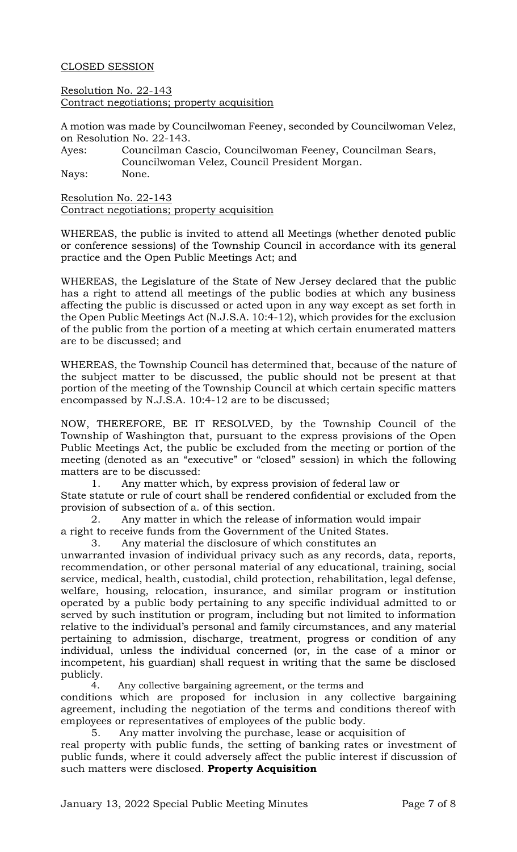### CLOSED SESSION

Resolution No. 22-143 Contract negotiations; property acquisition

A motion was made by Councilwoman Feeney, seconded by Councilwoman Velez, on Resolution No. 22-143.

Ayes: Councilman Cascio, Councilwoman Feeney, Councilman Sears, Councilwoman Velez, Council President Morgan. Nays: None.

Resolution No. 22-143 Contract negotiations; property acquisition

WHEREAS, the public is invited to attend all Meetings (whether denoted public or conference sessions) of the Township Council in accordance with its general practice and the Open Public Meetings Act; and

WHEREAS, the Legislature of the State of New Jersey declared that the public has a right to attend all meetings of the public bodies at which any business affecting the public is discussed or acted upon in any way except as set forth in the Open Public Meetings Act (N.J.S.A. 10:4-12), which provides for the exclusion of the public from the portion of a meeting at which certain enumerated matters are to be discussed; and

WHEREAS, the Township Council has determined that, because of the nature of the subject matter to be discussed, the public should not be present at that portion of the meeting of the Township Council at which certain specific matters encompassed by N.J.S.A. 10:4-12 are to be discussed;

NOW, THEREFORE, BE IT RESOLVED, by the Township Council of the Township of Washington that, pursuant to the express provisions of the Open Public Meetings Act, the public be excluded from the meeting or portion of the meeting (denoted as an "executive" or "closed" session) in which the following matters are to be discussed:

1. Any matter which, by express provision of federal law or State statute or rule of court shall be rendered confidential or excluded from the provision of subsection of a. of this section.

2. Any matter in which the release of information would impair a right to receive funds from the Government of the United States.

3. Any material the disclosure of which constitutes an

unwarranted invasion of individual privacy such as any records, data, reports, recommendation, or other personal material of any educational, training, social service, medical, health, custodial, child protection, rehabilitation, legal defense, welfare, housing, relocation, insurance, and similar program or institution operated by a public body pertaining to any specific individual admitted to or served by such institution or program, including but not limited to information relative to the individual's personal and family circumstances, and any material pertaining to admission, discharge, treatment, progress or condition of any individual, unless the individual concerned (or, in the case of a minor or incompetent, his guardian) shall request in writing that the same be disclosed publicly.

4. Any collective bargaining agreement, or the terms and conditions which are proposed for inclusion in any collective bargaining agreement, including the negotiation of the terms and conditions thereof with employees or representatives of employees of the public body.

5. Any matter involving the purchase, lease or acquisition of real property with public funds, the setting of banking rates or investment of public funds, where it could adversely affect the public interest if discussion of such matters were disclosed. **Property Acquisition**